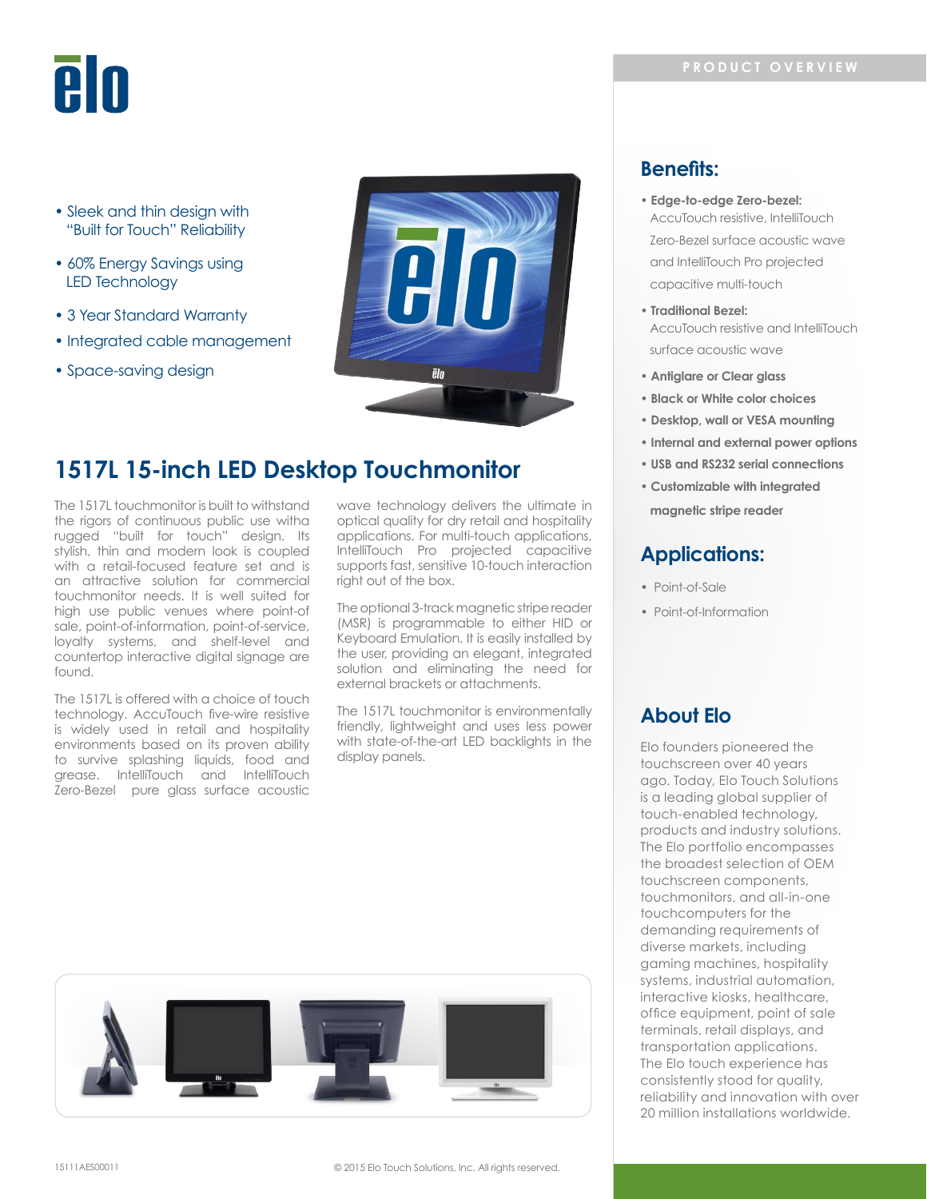# **PIN**

- Sleek and thin design with "Built for Touch" Reliability
- 60% Energy Savings using LED Technology
- 3 Year Standard Warranty
- Integrated cable management
- Space-saving design



# **1517L 15-inch LED Desktop Touchmonitor**

The 1517L touchmonitor is built to withstand the rigors of continuous public use witha rugged "built for touch" design. Its stylish, thin and modern look is coupled with a retail-focused feature set and is an attractive solution for commercial touchmonitor needs. It is well suited for high use public venues where point-of sale, point-of-information, point-of-service, loyalty systems, and shelf-level and countertop interactive digital signage are found.

The 1517L is offered with a choice of touch technology. AccuTouch ive-wire resistive is widely used in retail and hospitality environments based on its proven ability to survive splashing liquids, food and grease. IntelliTouch and IntelliTouch Zero-Bezel pure glass surface acoustic

wave technology delivers the ultimate in optical quality for dry retail and hospitality applications. For multi-touch applications, IntelliTouch Pro projected capacitive supports fast, sensitive 10-touch interaction right out of the box.

The optional 3-track magnetic stripe reader (MSR) is programmable to either HID or Keyboard Emulation. It is easily installed by the user, providing an elegant, integrated solution and eliminating the need for external brackets or attachments.

The 1517L touchmonitor is environmentally friendly, lightweight and uses less power with state-of-the-art LED backlights in the display panels.



## **Benefits:**

- **Edge-to-edge Zero-bezel:** AccuTouch resistive, IntelliTouch Zero-Bezel surface acoustic wave and IntelliTouch Pro projected capacitive multi-touch
- **Traditional Bezel:** AccuTouch resistive and IntelliTouch surface acoustic wave
- **Antiglare or Clear glass**
- **Black or White color choices**
- **Desktop, wall or VESA mounting**
- **Internal and external power options**
- **USB and RS232 serial connections**
- **Customizable with integrated**

 **magnetic stripe reader**

## **Applications:**

- Point-of-Sale
- Point-of-Information

## **About Elo**

Elo founders pioneered the touchscreen over 40 years ago. Today, Elo Touch Solutions is a leading global supplier of touch-enabled technology, products and industry solutions. The Elo portfolio encompasses the broadest selection of OEM touchscreen components, touchmonitors, and all-in-one touchcomputers for the demanding requirements of diverse markets, including gaming machines, hospitality systems, industrial automation, interactive kiosks, healthcare, ofice equipment, point of sale terminals, retail displays, and transportation applications. The Elo touch experience has consistently stood for quality, reliability and innovation with over 20 million installations worldwide.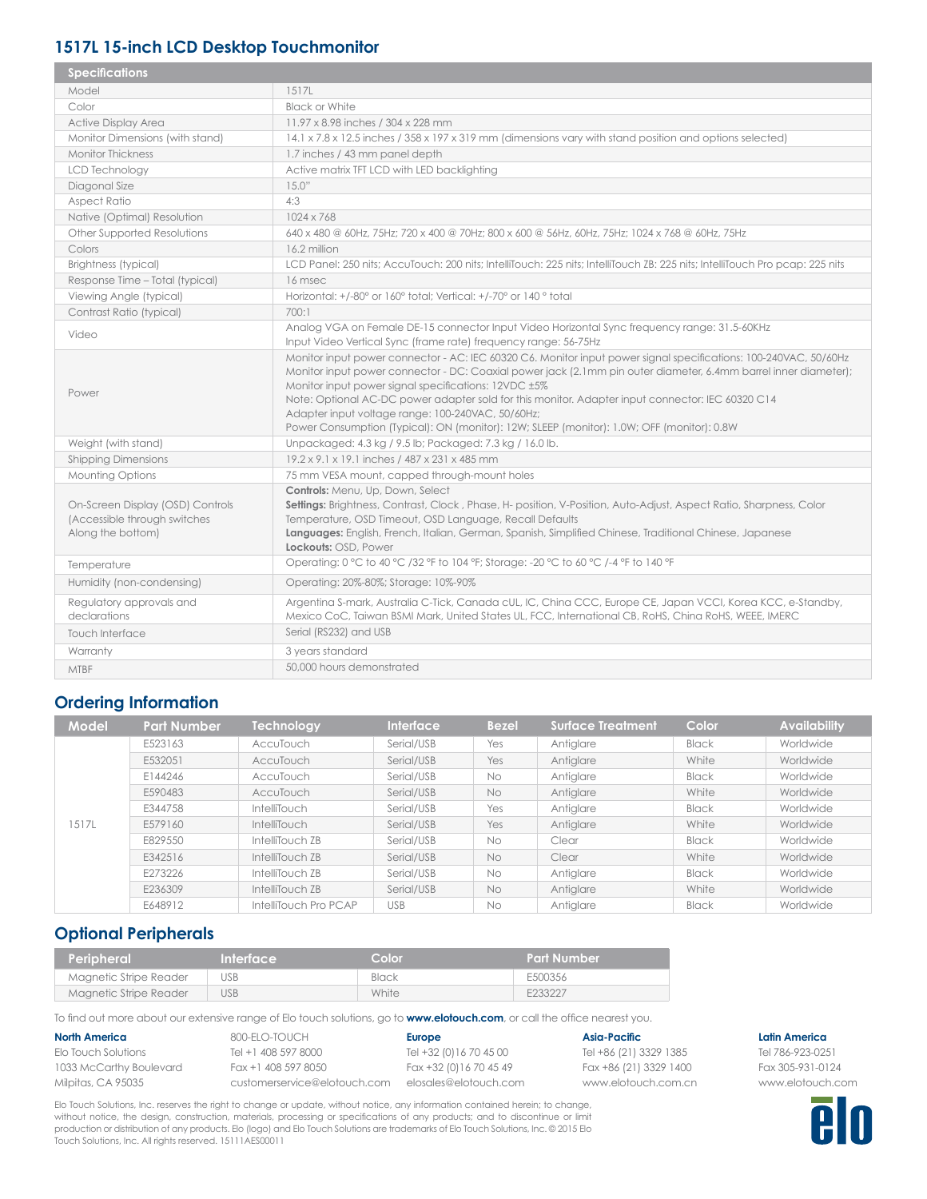## **1517L 15-inch LCD Desktop Touchmonitor**

| <b>Specifications</b>                                                                 |                                                                                                                                                                                                                                                                                                                                                                                                                                                                                                                                                    |
|---------------------------------------------------------------------------------------|----------------------------------------------------------------------------------------------------------------------------------------------------------------------------------------------------------------------------------------------------------------------------------------------------------------------------------------------------------------------------------------------------------------------------------------------------------------------------------------------------------------------------------------------------|
| Model                                                                                 | 1517L                                                                                                                                                                                                                                                                                                                                                                                                                                                                                                                                              |
| Color                                                                                 | <b>Black or White</b>                                                                                                                                                                                                                                                                                                                                                                                                                                                                                                                              |
| Active Display Area                                                                   | 11.97 x 8.98 inches / 304 x 228 mm                                                                                                                                                                                                                                                                                                                                                                                                                                                                                                                 |
| Monitor Dimensions (with stand)                                                       | 14.1 x 7.8 x 12.5 inches / 358 x 197 x 319 mm (dimensions vary with stand position and options selected)                                                                                                                                                                                                                                                                                                                                                                                                                                           |
| <b>Monitor Thickness</b>                                                              | 1.7 inches / 43 mm panel depth                                                                                                                                                                                                                                                                                                                                                                                                                                                                                                                     |
| <b>LCD Technology</b>                                                                 | Active matrix TFT LCD with LED backlighting                                                                                                                                                                                                                                                                                                                                                                                                                                                                                                        |
| Diagonal Size                                                                         | 15.0"                                                                                                                                                                                                                                                                                                                                                                                                                                                                                                                                              |
| <b>Aspect Ratio</b>                                                                   | 4:3                                                                                                                                                                                                                                                                                                                                                                                                                                                                                                                                                |
| Native (Optimal) Resolution                                                           | 1024 x 768                                                                                                                                                                                                                                                                                                                                                                                                                                                                                                                                         |
| Other Supported Resolutions                                                           | 640 x 480 @ 60Hz, 75Hz; 720 x 400 @ 70Hz; 800 x 600 @ 56Hz, 60Hz, 75Hz; 1024 x 768 @ 60Hz, 75Hz                                                                                                                                                                                                                                                                                                                                                                                                                                                    |
| Colors                                                                                | 16.2 million                                                                                                                                                                                                                                                                                                                                                                                                                                                                                                                                       |
| <b>Brightness (typical)</b>                                                           | LCD Panel: 250 nits; AccuTouch: 200 nits; IntelliTouch: 225 nits; IntelliTouch ZB: 225 nits; IntelliTouch Pro pcap: 225 nits                                                                                                                                                                                                                                                                                                                                                                                                                       |
| Response Time - Total (typical)                                                       | 16 msec                                                                                                                                                                                                                                                                                                                                                                                                                                                                                                                                            |
| Viewing Angle (typical)                                                               | Horizontal: +/-80° or 160° total; Vertical: +/-70° or 140 ° total                                                                                                                                                                                                                                                                                                                                                                                                                                                                                  |
| Contrast Ratio (typical)                                                              | 700:1                                                                                                                                                                                                                                                                                                                                                                                                                                                                                                                                              |
| Video                                                                                 | Analog VGA on Female DE-15 connector Input Video Horizontal Sync frequency range: 31.5-60KHz<br>Input Video Vertical Sync (frame rate) frequency range: 56-75Hz                                                                                                                                                                                                                                                                                                                                                                                    |
| Power                                                                                 | Monitor input power connector - AC: IEC 60320 C6. Monitor input power signal specifications: 100-240VAC, 50/60Hz<br>Monitor input power connector - DC: Coaxial power jack (2.1mm pin outer diameter, 6.4mm barrel inner diameter);<br>Monitor input power signal specifications: 12VDC ±5%<br>Note: Optional AC-DC power adapter sold for this monitor. Adapter input connector: IEC 60320 C14<br>Adapter input voltage range: 100-240VAC, 50/60Hz;<br>Power Consumption (Typical): ON (monitor): 12W; SLEEP (monitor): 1.0W; OFF (monitor): 0.8W |
| Weight (with stand)                                                                   | Unpackaged: 4.3 kg / 9.5 lb; Packaged: 7.3 kg / 16.0 lb.                                                                                                                                                                                                                                                                                                                                                                                                                                                                                           |
| <b>Shipping Dimensions</b>                                                            | 19.2 x 9.1 x 19.1 inches / 487 x 231 x 485 mm                                                                                                                                                                                                                                                                                                                                                                                                                                                                                                      |
| Mounting Options                                                                      | 75 mm VESA mount, capped through-mount holes                                                                                                                                                                                                                                                                                                                                                                                                                                                                                                       |
| On-Screen Display (OSD) Controls<br>(Accessible through switches<br>Along the bottom) | Controls: Menu, Up, Down, Select<br>Settings: Brightness, Contrast, Clock, Phase, H- position, V-Position, Auto-Adjust, Aspect Ratio, Sharpness, Color<br>Temperature, OSD Timeout, OSD Language, Recall Defaults<br>Languages: English, French, Italian, German, Spanish, Simplified Chinese, Traditional Chinese, Japanese<br>Lockouts: OSD, Power                                                                                                                                                                                               |
| Temperature                                                                           | Operating: 0 °C to 40 °C /32 °F to 104 °F; Storage: -20 °C to 60 °C /-4 °F to 140 °F                                                                                                                                                                                                                                                                                                                                                                                                                                                               |
| Humidity (non-condensing)                                                             | Operating: 20%-80%; Storage: 10%-90%                                                                                                                                                                                                                                                                                                                                                                                                                                                                                                               |
| Regulatory approvals and<br>declarations                                              | Argentina S-mark, Australia C-Tick, Canada cUL, IC, China CCC, Europe CE, Japan VCCI, Korea KCC, e-Standby,<br>Mexico CoC, Taiwan BSMI Mark, United States UL, FCC, International CB, RoHS, China RoHS, WEEE, IMERC                                                                                                                                                                                                                                                                                                                                |
| Touch Interface                                                                       | Serial (RS232) and USB                                                                                                                                                                                                                                                                                                                                                                                                                                                                                                                             |
| Warranty                                                                              | 3 years standard                                                                                                                                                                                                                                                                                                                                                                                                                                                                                                                                   |
| <b>MTBF</b>                                                                           | 50,000 hours demonstrated                                                                                                                                                                                                                                                                                                                                                                                                                                                                                                                          |

## **Ordering Information**

| <b>Model</b> | <b>Part Number</b> | Technology            | <b>Interface</b> | <b>Bezel</b> | <b>Surface Treatment</b> | Color        | <b>Availability</b> |
|--------------|--------------------|-----------------------|------------------|--------------|--------------------------|--------------|---------------------|
|              | E523163            | AccuTouch             | Serial/USB       | Yes          | Antiglare                | <b>Black</b> | Worldwide           |
|              | E532051            | AccuTouch             | Serial/USB       | Yes          | Antiglare                | White        | Worldwide           |
|              | E144246            | AccuTouch             | Serial/USB       | <b>No</b>    | Antiglare                | Black        | Worldwide           |
|              | E590483            | AccuTouch             | Serial/USB       | <b>No</b>    | Antiglare                | White        | Worldwide           |
|              | E344758            | <b>IntelliTouch</b>   | Serial/USB       | Yes          | Antiglare                | Black        | Worldwide           |
| 1517L        | E579160            | <b>IntelliTouch</b>   | Serial/USB       | Yes          | Antiglare                | White        | Worldwide           |
|              | E829550            | IntelliTouch ZB       | Serial/USB       | No           | Clear                    | Black        | Worldwide           |
|              | E342516            | IntelliTouch ZB       | Serial/USB       | No           | Clear                    | White        | Worldwide           |
|              | E273226            | IntelliTouch ZB       | Serial/USB       | No           | Antiglare                | <b>Black</b> | Worldwide           |
|              | E236309            | IntelliTouch ZB       | Serial/USB       | No           | Antiglare                | White        | Worldwide           |
|              | E648912            | IntelliTouch Pro PCAP | <b>USB</b>       | No           | Antiglare                | <b>Black</b> | Worldwide           |

## **Optional Peripherals**

| 'Peripheral .          | Interface | 'Color | <b>Part Number</b> |
|------------------------|-----------|--------|--------------------|
| Magnetic Stripe Reader | USB       | Black  | E500356            |
| Magnetic Stripe Reader | USB       | White  | F233227            |

To ind out more about our extensive range of Elo touch solutions, go to **www.elotouch.com**, or call the ofice nearest you.

| <b>North America</b>    |
|-------------------------|
| Elo Touch Solutions     |
| 1033 McCarthy Boulevard |
| Milpitas, CA 95035      |

800-ELO-TOUCH Tel +1 408 597 8000 Fax +1 408 597 8050 customerservice@elotouch.com elosales@elotouch.com

**Europe** Tel +32 (0)16 70 45 00 Fax +32 (0)16 70 45 49 **Asia-Paciic**

Tel +86 (21) 3329 1385 Fax +86 (21) 3329 1400 www.elotouch.com.cn

Elo Touch Solutions, Inc. reserves the right to change or update, without notice, any information contained herein; to change, without notice, the design, construction, materials, processing or speciications of any products; and to discontinue or limit production or distribution of any products. Elo (logo) and Elo Touch Solutions are trademarks of Elo Touch Solutions, Inc. © 2015 Elo Touch Solutions, Inc. All rights reserved. 15111AES00011

### **Latin America**

Tel 786-923-0251 Fax 305-931-0124 www.elotouch.com

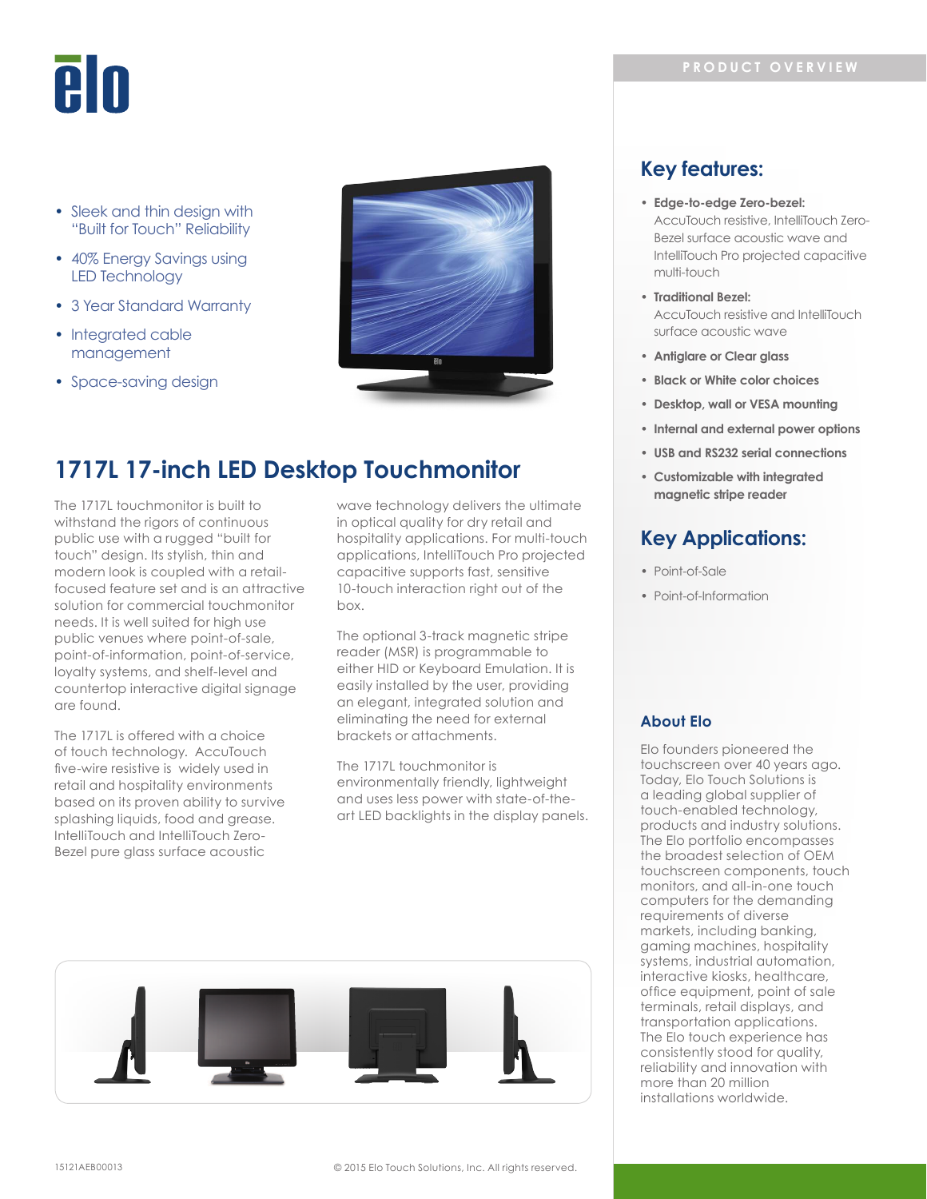# eln

- Sleek and thin desian with "Built for Touch" Reliability
- 40% Energy Savings using LED Technology
- 3 Year Standard Warranty
- Integrated cable management
- Space-saving design



# **1717L 17-inch LED Desktop Touchmonitor**

The 1717L touchmonitor is built to withstand the rigors of continuous public use with a rugged "built for touch" design. Its stylish, thin and modern look is coupled with a retailfocused feature set and is an attractive solution for commercial touchmonitor needs. It is well suited for high use public venues where point-of-sale, point-of-information, point-of-service, loyalty systems, and shelf-level and countertop interactive digital signage are found.

The 1717L is offered with a choice of touch technology. AccuTouch five-wire resistive is widely used in retail and hospitality environments based on its proven ability to survive splashing liquids, food and grease. IntelliTouch and IntelliTouch Zero-Bezel pure glass surface acoustic

wave technology delivers the ultimate in optical quality for dry retail and hospitality applications. For multi-touch applications, IntelliTouch Pro projected capacitive supports fast, sensitive 10-touch interaction right out of the hox

The optional 3-track magnetic stripe reader (MSR) is programmable to either HID or Keyboard Emulation. It is easily installed by the user, providing an elegant, integrated solution and eliminating the need for external brackets or attachments.

The 1717L touchmonitor is environmentally friendly, lightweight and uses less power with state-of-theart LED backlights in the display panels.



## **Key features:**

- **Edge-to-edge Zero-bezel:**  AccuTouch resistive, IntelliTouch Zero-Bezel surface acoustic wave and IntelliTouch Pro projected capacitive multi-touch
- **Traditional Bezel:** AccuTouch resistive and IntelliTouch surface acoustic wave
- **Antiglare or Clear glass**
- **Black or White color choices**
- **Desktop, wall or VESA mounting**
- **Internal and external power options**
- **USB and RS232 serial connections**
- **Customizable with integrated magnetic stripe reader**

## **Key Applications:**

- Point-of-Sale
- Point-of-Information

## **About Elo**

Elo founders pioneered the touchscreen over 40 years ago. Today, Elo Touch Solutions is a leading global supplier of touch-enabled technology, products and industry solutions. The Elo portfolio encompasses the broadest selection of OEM touchscreen components, touch monitors, and all-in-one touch computers for the demanding requirements of diverse markets, including banking, gaming machines, hospitality systems, industrial automation, interactive kiosks, healthcare, ofice equipment, point of sale terminals, retail displays, and transportation applications. The Elo touch experience has consistently stood for quality, reliability and innovation with more than 20 million installations worldwide.